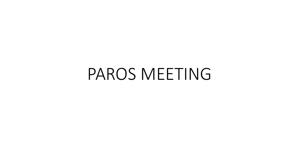## PAROS MEETING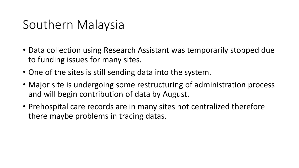## Southern Malaysia

- Data collection using Research Assistant was temporarily stopped due to funding issues for many sites.
- One of the sites is still sending data into the system.
- Major site is undergoing some restructuring of administration process and will begin contribution of data by August.
- Prehospital care records are in many sites not centralized therefore there maybe problems in tracing datas.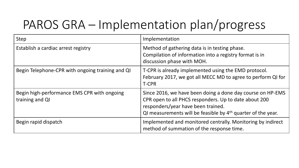## PAROS GRA – Implementation plan/progress

| Step                                                           | Implementation                                                                                                                                                                                                              |
|----------------------------------------------------------------|-----------------------------------------------------------------------------------------------------------------------------------------------------------------------------------------------------------------------------|
| Establish a cardiac arrest registry                            | Method of gathering data is in testing phase.<br>Compilation of information into a registry format is in<br>discussion phase with MOH.                                                                                      |
| Begin Telephone-CPR with ongoing training and QI               | T-CPR is already implemented using the EMD protocol.<br>February 2017, we got all MECC MD to agree to perform QI for<br><b>T-CPR</b>                                                                                        |
| Begin high-performance EMS CPR with ongoing<br>training and QI | Since 2016, we have been doing a done day course on HP-EMS<br>CPR open to all PHCS responders. Up to date about 200<br>responders/year have been trained.<br>QI measurements will be feasible by $4th$ quarter of the year. |
| Begin rapid dispatch                                           | Implemented and monitored centrally. Monitoring by indirect<br>method of summation of the response time.                                                                                                                    |